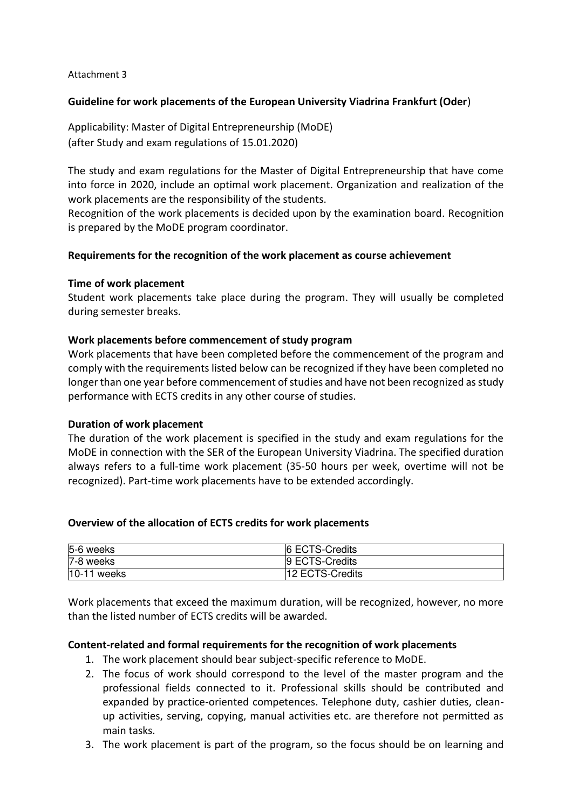## Attachment 3

# **Guideline for work placements of the European University Viadrina Frankfurt (Oder**)

Applicability: Master of Digital Entrepreneurship (MoDE) (after Study and exam regulations of 15.01.2020)

The study and exam regulations for the Master of Digital Entrepreneurship that have come into force in 2020, include an optimal work placement. Organization and realization of the work placements are the responsibility of the students.

Recognition of the work placements is decided upon by the examination board. Recognition is prepared by the MoDE program coordinator.

## **Requirements for the recognition of the work placement as course achievement**

## **Time of work placement**

Student work placements take place during the program. They will usually be completed during semester breaks.

## **Work placements before commencement of study program**

Work placements that have been completed before the commencement of the program and comply with the requirements listed below can be recognized if they have been completed no longer than one year before commencement of studies and have not been recognized as study performance with ECTS credits in any other course of studies.

#### **Duration of work placement**

The duration of the work placement is specified in the study and exam regulations for the MoDE in connection with the SER of the European University Viadrina. The specified duration always refers to a full-time work placement (35-50 hours per week, overtime will not be recognized). Part-time work placements have to be extended accordingly.

#### **Overview of the allocation of ECTS credits for work placements**

| 5-6 weeks     | 6 ECTS-Credits  |
|---------------|-----------------|
| 7-8 weeks     | 9 ECTS-Credits  |
| $10-11$ weeks | 12 ECTS-Credits |

Work placements that exceed the maximum duration, will be recognized, however, no more than the listed number of ECTS credits will be awarded.

#### **Content-related and formal requirements for the recognition of work placements**

- 1. The work placement should bear subject-specific reference to MoDE.
- 2. The focus of work should correspond to the level of the master program and the professional fields connected to it. Professional skills should be contributed and expanded by practice-oriented competences. Telephone duty, cashier duties, cleanup activities, serving, copying, manual activities etc. are therefore not permitted as main tasks.
- 3. The work placement is part of the program, so the focus should be on learning and